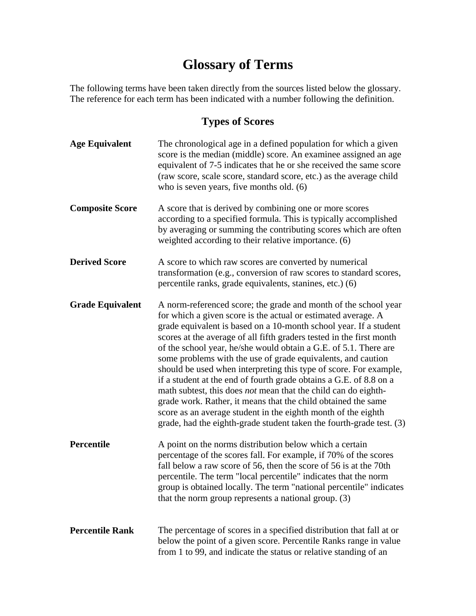# **Glossary of Terms**

The following terms have been taken directly from the sources listed below the glossary. The reference for each term has been indicated with a number following the definition.

### **Types of Scores**

| <b>Age Equivalent</b>   | The chronological age in a defined population for which a given<br>score is the median (middle) score. An examinee assigned an age<br>equivalent of 7-5 indicates that he or she received the same score<br>(raw score, scale score, standard score, etc.) as the average child<br>who is seven years, five months old. $(6)$                                                                                                                                                                                                                                                                                                                                                                                                                                                                                                                   |
|-------------------------|-------------------------------------------------------------------------------------------------------------------------------------------------------------------------------------------------------------------------------------------------------------------------------------------------------------------------------------------------------------------------------------------------------------------------------------------------------------------------------------------------------------------------------------------------------------------------------------------------------------------------------------------------------------------------------------------------------------------------------------------------------------------------------------------------------------------------------------------------|
| <b>Composite Score</b>  | A score that is derived by combining one or more scores<br>according to a specified formula. This is typically accomplished<br>by averaging or summing the contributing scores which are often<br>weighted according to their relative importance. (6)                                                                                                                                                                                                                                                                                                                                                                                                                                                                                                                                                                                          |
| <b>Derived Score</b>    | A score to which raw scores are converted by numerical<br>transformation (e.g., conversion of raw scores to standard scores,<br>percentile ranks, grade equivalents, stanines, etc.) (6)                                                                                                                                                                                                                                                                                                                                                                                                                                                                                                                                                                                                                                                        |
| <b>Grade Equivalent</b> | A norm-referenced score; the grade and month of the school year<br>for which a given score is the actual or estimated average. A<br>grade equivalent is based on a 10-month school year. If a student<br>scores at the average of all fifth graders tested in the first month<br>of the school year, he/she would obtain a G.E. of 5.1. There are<br>some problems with the use of grade equivalents, and caution<br>should be used when interpreting this type of score. For example,<br>if a student at the end of fourth grade obtains a G.E. of 8.8 on a<br>math subtest, this does <i>not</i> mean that the child can do eighth-<br>grade work. Rather, it means that the child obtained the same<br>score as an average student in the eighth month of the eighth<br>grade, had the eighth-grade student taken the fourth-grade test. (3) |
| Percentile              | A point on the norms distribution below which a certain<br>percentage of the scores fall. For example, if 70% of the scores<br>fall below a raw score of 56, then the score of 56 is at the 70th<br>percentile. The term "local percentile" indicates that the norm<br>group is obtained locally. The term "national percentile" indicates<br>that the norm group represents a national group. (3)                                                                                                                                                                                                                                                                                                                                                                                                                                              |
| <b>Percentile Rank</b>  | The percentage of scores in a specified distribution that fall at or<br>below the point of a given score. Percentile Ranks range in value<br>from 1 to 99, and indicate the status or relative standing of an                                                                                                                                                                                                                                                                                                                                                                                                                                                                                                                                                                                                                                   |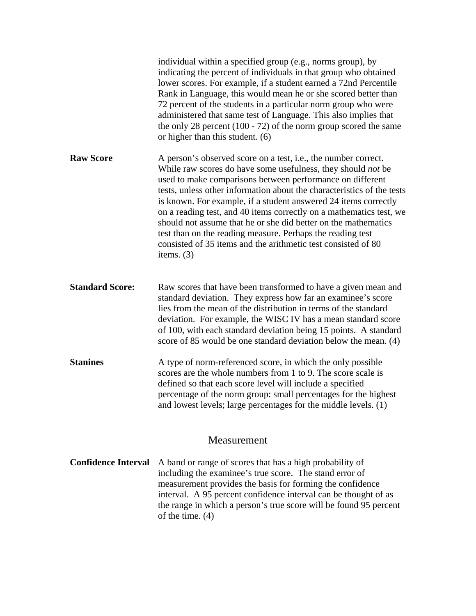|                        | individual within a specified group (e.g., norms group), by<br>indicating the percent of individuals in that group who obtained<br>lower scores. For example, if a student earned a 72nd Percentile<br>Rank in Language, this would mean he or she scored better than<br>72 percent of the students in a particular norm group who were<br>administered that same test of Language. This also implies that<br>the only 28 percent $(100 - 72)$ of the norm group scored the same<br>or higher than this student. (6)                                                                                                                    |
|------------------------|-----------------------------------------------------------------------------------------------------------------------------------------------------------------------------------------------------------------------------------------------------------------------------------------------------------------------------------------------------------------------------------------------------------------------------------------------------------------------------------------------------------------------------------------------------------------------------------------------------------------------------------------|
| <b>Raw Score</b>       | A person's observed score on a test, i.e., the number correct.<br>While raw scores do have some usefulness, they should <i>not</i> be<br>used to make comparisons between performance on different<br>tests, unless other information about the characteristics of the tests<br>is known. For example, if a student answered 24 items correctly<br>on a reading test, and 40 items correctly on a mathematics test, we<br>should not assume that he or she did better on the mathematics<br>test than on the reading measure. Perhaps the reading test<br>consisted of 35 items and the arithmetic test consisted of 80<br>items. $(3)$ |
| <b>Standard Score:</b> | Raw scores that have been transformed to have a given mean and<br>standard deviation. They express how far an examinee's score<br>lies from the mean of the distribution in terms of the standard<br>deviation. For example, the WISC IV has a mean standard score<br>of 100, with each standard deviation being 15 points. A standard<br>score of 85 would be one standard deviation below the mean. (4)                                                                                                                                                                                                                               |
| <b>Stanines</b>        | A type of norm-referenced score, in which the only possible<br>scores are the whole numbers from 1 to 9. The score scale is<br>defined so that each score level will include a specified<br>percentage of the norm group: small percentages for the highest<br>and lowest levels; large percentages for the middle levels. (1)                                                                                                                                                                                                                                                                                                          |

#### Measurement

**Confidence Interval** A band or range of scores that has a high probability of including the examinee's true score. The stand error of measurement provides the basis for forming the confidence interval. A 95 percent confidence interval can be thought of as the range in which a person's true score will be found 95 percent of the time.  $(4)$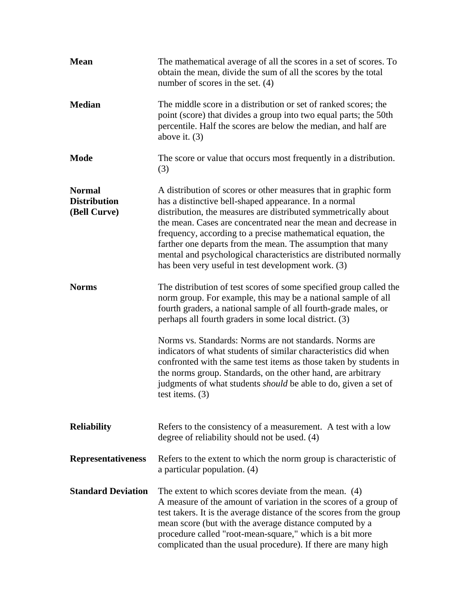| <b>Mean</b>                                          | The mathematical average of all the scores in a set of scores. To<br>obtain the mean, divide the sum of all the scores by the total<br>number of scores in the set. $(4)$                                                                                                                                                                                                                                                                                                                                              |
|------------------------------------------------------|------------------------------------------------------------------------------------------------------------------------------------------------------------------------------------------------------------------------------------------------------------------------------------------------------------------------------------------------------------------------------------------------------------------------------------------------------------------------------------------------------------------------|
| <b>Median</b>                                        | The middle score in a distribution or set of ranked scores; the<br>point (score) that divides a group into two equal parts; the 50th<br>percentile. Half the scores are below the median, and half are<br>above it. $(3)$                                                                                                                                                                                                                                                                                              |
| <b>Mode</b>                                          | The score or value that occurs most frequently in a distribution.<br>(3)                                                                                                                                                                                                                                                                                                                                                                                                                                               |
| <b>Normal</b><br><b>Distribution</b><br>(Bell Curve) | A distribution of scores or other measures that in graphic form<br>has a distinctive bell-shaped appearance. In a normal<br>distribution, the measures are distributed symmetrically about<br>the mean. Cases are concentrated near the mean and decrease in<br>frequency, according to a precise mathematical equation, the<br>farther one departs from the mean. The assumption that many<br>mental and psychological characteristics are distributed normally<br>has been very useful in test development work. (3) |
| <b>Norms</b>                                         | The distribution of test scores of some specified group called the<br>norm group. For example, this may be a national sample of all<br>fourth graders, a national sample of all fourth-grade males, or<br>perhaps all fourth graders in some local district. (3)                                                                                                                                                                                                                                                       |
|                                                      | Norms vs. Standards: Norms are not standards. Norms are<br>indicators of what students of similar characteristics did when<br>confronted with the same test items as those taken by students in<br>the norms group. Standards, on the other hand, are arbitrary<br>judgments of what students <i>should</i> be able to do, given a set of<br>test items. $(3)$                                                                                                                                                         |
| <b>Reliability</b>                                   | Refers to the consistency of a measurement. A test with a low<br>degree of reliability should not be used. (4)                                                                                                                                                                                                                                                                                                                                                                                                         |
| <b>Representativeness</b>                            | Refers to the extent to which the norm group is characteristic of<br>a particular population. (4)                                                                                                                                                                                                                                                                                                                                                                                                                      |
| <b>Standard Deviation</b>                            | The extent to which scores deviate from the mean. (4)<br>A measure of the amount of variation in the scores of a group of<br>test takers. It is the average distance of the scores from the group<br>mean score (but with the average distance computed by a<br>procedure called "root-mean-square," which is a bit more<br>complicated than the usual procedure). If there are many high                                                                                                                              |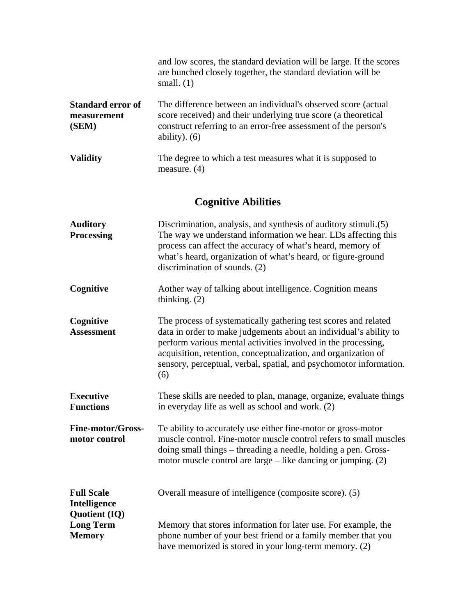|                                                  | and low scores, the standard deviation will be large. If the scores<br>are bunched closely together, the standard deviation will be<br>small. $(1)$                                                                    |
|--------------------------------------------------|------------------------------------------------------------------------------------------------------------------------------------------------------------------------------------------------------------------------|
| <b>Standard error of</b><br>measurement<br>(SEM) | The difference between an individual's observed score (actual)<br>score received) and their underlying true score (a theoretical<br>construct referring to an error-free assessment of the person's<br>ability). $(6)$ |
| <b>Validity</b>                                  | The degree to which a test measures what it is supposed to<br>measure. $(4)$                                                                                                                                           |

## **Cognitive Abilities**

| <b>Auditory</b><br><b>Processing</b>                      | Discrimination, analysis, and synthesis of auditory stimuli.(5)<br>The way we understand information we hear. LDs affecting this<br>process can affect the accuracy of what's heard, memory of<br>what's heard, organization of what's heard, or figure-ground<br>discrimination of sounds. (2)                                                      |
|-----------------------------------------------------------|------------------------------------------------------------------------------------------------------------------------------------------------------------------------------------------------------------------------------------------------------------------------------------------------------------------------------------------------------|
| Cognitive                                                 | Aother way of talking about intelligence. Cognition means<br>thinking. $(2)$                                                                                                                                                                                                                                                                         |
| Cognitive<br><b>Assessment</b>                            | The process of systematically gathering test scores and related<br>data in order to make judgements about an individual's ability to<br>perform various mental activities involved in the processing,<br>acquisition, retention, conceptualization, and organization of<br>sensory, perceptual, verbal, spatial, and psychomotor information.<br>(6) |
| <b>Executive</b><br><b>Functions</b>                      | These skills are needed to plan, manage, organize, evaluate things<br>in everyday life as well as school and work. (2)                                                                                                                                                                                                                               |
| <b>Fine-motor/Gross-</b><br>motor control                 | Te ability to accurately use either fine-motor or gross-motor<br>muscle control. Fine-motor muscle control refers to small muscles<br>doing small things – threading a needle, holding a pen. Gross-<br>motor muscle control are large – like dancing or jumping. (2)                                                                                |
| <b>Full Scale</b><br><b>Intelligence</b>                  | Overall measure of intelligence (composite score). (5)                                                                                                                                                                                                                                                                                               |
| <b>Quotient (IQ)</b><br><b>Long Term</b><br><b>Memory</b> | Memory that stores information for later use. For example, the<br>phone number of your best friend or a family member that you<br>have memorized is stored in your long-term memory. (2)                                                                                                                                                             |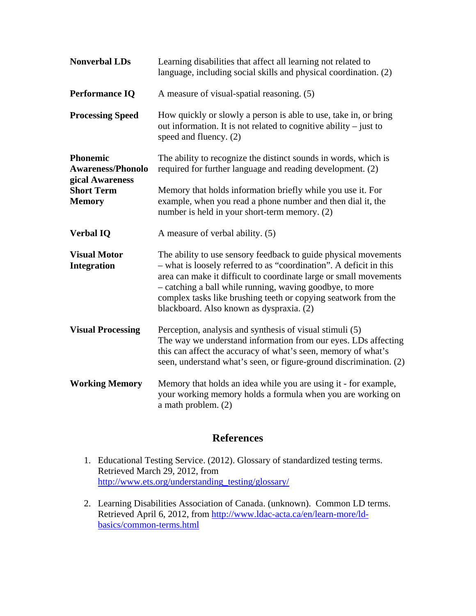| <b>Nonverbal LDs</b>                                           | Learning disabilities that affect all learning not related to<br>language, including social skills and physical coordination. (2)                                                                                                                                                                                                                                                    |
|----------------------------------------------------------------|--------------------------------------------------------------------------------------------------------------------------------------------------------------------------------------------------------------------------------------------------------------------------------------------------------------------------------------------------------------------------------------|
| <b>Performance IQ</b>                                          | A measure of visual-spatial reasoning. (5)                                                                                                                                                                                                                                                                                                                                           |
| <b>Processing Speed</b>                                        | How quickly or slowly a person is able to use, take in, or bring<br>out information. It is not related to cognitive ability $-$ just to<br>speed and fluency. (2)                                                                                                                                                                                                                    |
| <b>Phonemic</b><br><b>Awareness/Phonolo</b><br>gical Awareness | The ability to recognize the distinct sounds in words, which is<br>required for further language and reading development. (2)                                                                                                                                                                                                                                                        |
| <b>Short Term</b><br><b>Memory</b>                             | Memory that holds information briefly while you use it. For<br>example, when you read a phone number and then dial it, the<br>number is held in your short-term memory. (2)                                                                                                                                                                                                          |
| <b>Verbal IQ</b>                                               | A measure of verbal ability. (5)                                                                                                                                                                                                                                                                                                                                                     |
| <b>Visual Motor</b><br><b>Integration</b>                      | The ability to use sensory feedback to guide physical movements<br>- what is loosely referred to as "coordination". A deficit in this<br>area can make it difficult to coordinate large or small movements<br>- catching a ball while running, waving goodbye, to more<br>complex tasks like brushing teeth or copying seatwork from the<br>blackboard. Also known as dyspraxia. (2) |
| <b>Visual Processing</b>                                       | Perception, analysis and synthesis of visual stimuli (5)<br>The way we understand information from our eyes. LDs affecting<br>this can affect the accuracy of what's seen, memory of what's<br>seen, understand what's seen, or figure-ground discrimination. (2)                                                                                                                    |
| <b>Working Memory</b>                                          | Memory that holds an idea while you are using it - for example,<br>your working memory holds a formula when you are working on<br>a math problem. (2)                                                                                                                                                                                                                                |

### **References**

- 1. Educational Testing Service. (2012). Glossary of standardized testing terms. Retrieved March 29, 2012, from http://www.ets.org/understanding\_testing/glossary/
- 2. Learning Disabilities Association of Canada. (unknown). Common LD terms. Retrieved April 6, 2012, from http://www.ldac-acta.ca/en/learn-more/ldbasics/common-terms.html